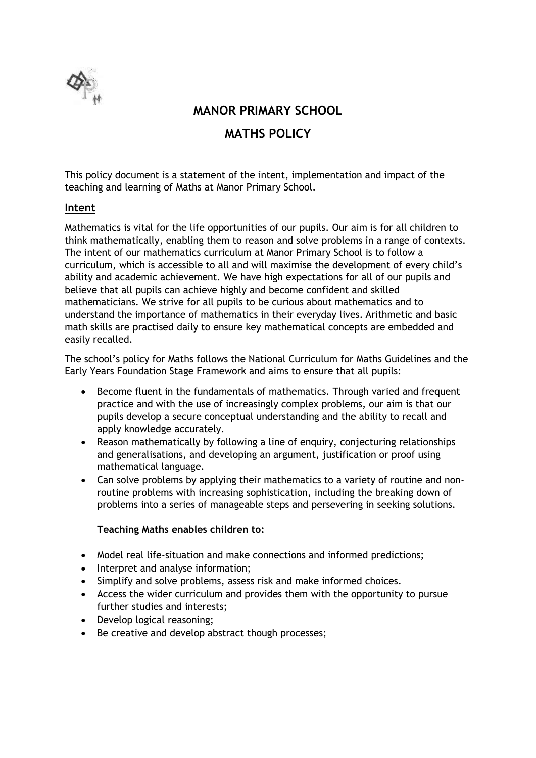

**MANOR PRIMARY SCHOOL**

# **MATHS POLICY**

This policy document is a statement of the intent, implementation and impact of the teaching and learning of Maths at Manor Primary School.

## **Intent**

Mathematics is vital for the life opportunities of our pupils. Our aim is for all children to think mathematically, enabling them to reason and solve problems in a range of contexts. The intent of our mathematics curriculum at Manor Primary School is to follow a curriculum, which is accessible to all and will maximise the development of every child's ability and academic achievement. We have high expectations for all of our pupils and believe that all pupils can achieve highly and become confident and skilled mathematicians. We strive for all pupils to be curious about mathematics and to understand the importance of mathematics in their everyday lives. Arithmetic and basic math skills are practised daily to ensure key mathematical concepts are embedded and easily recalled.

The school's policy for Maths follows the National Curriculum for Maths Guidelines and the Early Years Foundation Stage Framework and aims to ensure that all pupils:

- Become fluent in the fundamentals of mathematics. Through varied and frequent practice and with the use of increasingly complex problems, our aim is that our pupils develop a secure conceptual understanding and the ability to recall and apply knowledge accurately.
- Reason mathematically by following a line of enquiry, conjecturing relationships and generalisations, and developing an argument, justification or proof using mathematical language.
- Can solve problems by applying their mathematics to a variety of routine and nonroutine problems with increasing sophistication, including the breaking down of problems into a series of manageable steps and persevering in seeking solutions.

#### **Teaching Maths enables children to:**

- Model real life-situation and make connections and informed predictions;
- Interpret and analyse information;
- Simplify and solve problems, assess risk and make informed choices.
- Access the wider curriculum and provides them with the opportunity to pursue further studies and interests;
- Develop logical reasoning;
- Be creative and develop abstract though processes;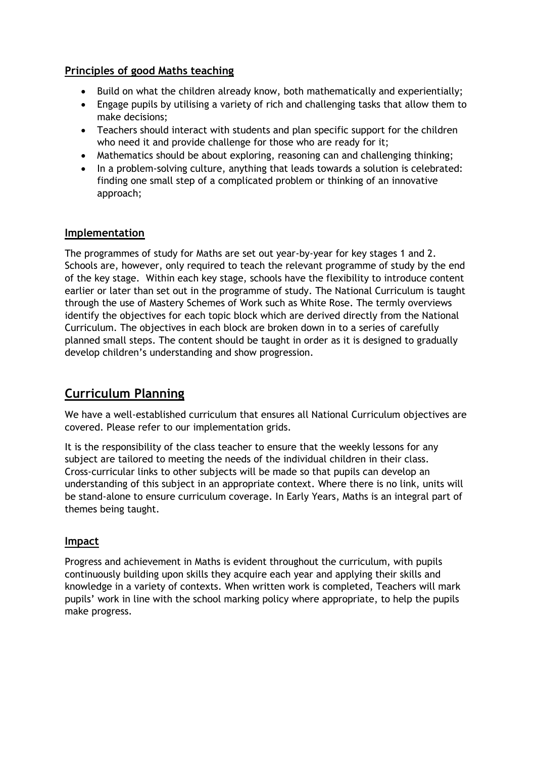## **Principles of good Maths teaching**

- Build on what the children already know, both mathematically and experientially;
- Engage pupils by utilising a variety of rich and challenging tasks that allow them to make decisions;
- Teachers should interact with students and plan specific support for the children who need it and provide challenge for those who are ready for it;
- Mathematics should be about exploring, reasoning can and challenging thinking;
- In a problem-solving culture, anything that leads towards a solution is celebrated: finding one small step of a complicated problem or thinking of an innovative approach;

## **Implementation**

The programmes of study for Maths are set out year-by-year for key stages 1 and 2. Schools are, however, only required to teach the relevant programme of study by the end of the key stage. Within each key stage, schools have the flexibility to introduce content earlier or later than set out in the programme of study. The National Curriculum is taught through the use of Mastery Schemes of Work such as White Rose. The termly overviews identify the objectives for each topic block which are derived directly from the National Curriculum. The objectives in each block are broken down in to a series of carefully planned small steps. The content should be taught in order as it is designed to gradually develop children's understanding and show progression.

# **Curriculum Planning**

We have a well-established curriculum that ensures all National Curriculum objectives are covered. Please refer to our implementation grids.

It is the responsibility of the class teacher to ensure that the weekly lessons for any subject are tailored to meeting the needs of the individual children in their class. Cross-curricular links to other subjects will be made so that pupils can develop an understanding of this subject in an appropriate context. Where there is no link, units will be stand-alone to ensure curriculum coverage. In Early Years, Maths is an integral part of themes being taught.

#### **Impact**

Progress and achievement in Maths is evident throughout the curriculum, with pupils continuously building upon skills they acquire each year and applying their skills and knowledge in a variety of contexts. When written work is completed, Teachers will mark pupils' work in line with the school marking policy where appropriate, to help the pupils make progress.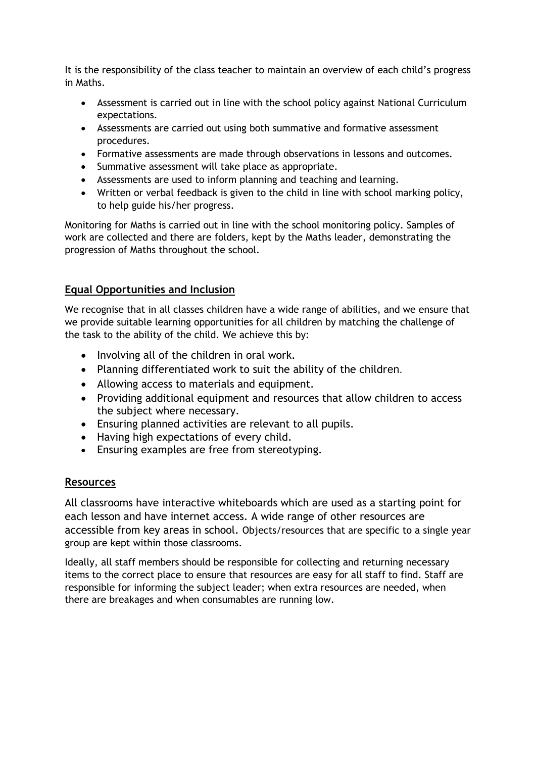It is the responsibility of the class teacher to maintain an overview of each child's progress in Maths.

- Assessment is carried out in line with the school policy against National Curriculum expectations.
- Assessments are carried out using both summative and formative assessment procedures.
- Formative assessments are made through observations in lessons and outcomes.
- Summative assessment will take place as appropriate.
- Assessments are used to inform planning and teaching and learning.
- Written or verbal feedback is given to the child in line with school marking policy, to help guide his/her progress.

Monitoring for Maths is carried out in line with the school monitoring policy. Samples of work are collected and there are folders, kept by the Maths leader, demonstrating the progression of Maths throughout the school.

# **Equal Opportunities and Inclusion**

We recognise that in all classes children have a wide range of abilities, and we ensure that we provide suitable learning opportunities for all children by matching the challenge of the task to the ability of the child. We achieve this by:

- Involving all of the children in oral work.
- Planning differentiated work to suit the ability of the children.
- Allowing access to materials and equipment.
- Providing additional equipment and resources that allow children to access the subject where necessary.
- Ensuring planned activities are relevant to all pupils.
- Having high expectations of every child.
- Ensuring examples are free from stereotyping.

#### **Resources**

All classrooms have interactive whiteboards which are used as a starting point for each lesson and have internet access. A wide range of other resources are accessible from key areas in school. Objects/resources that are specific to a single year group are kept within those classrooms.

Ideally, all staff members should be responsible for collecting and returning necessary items to the correct place to ensure that resources are easy for all staff to find. Staff are responsible for informing the subject leader; when extra resources are needed, when there are breakages and when consumables are running low.